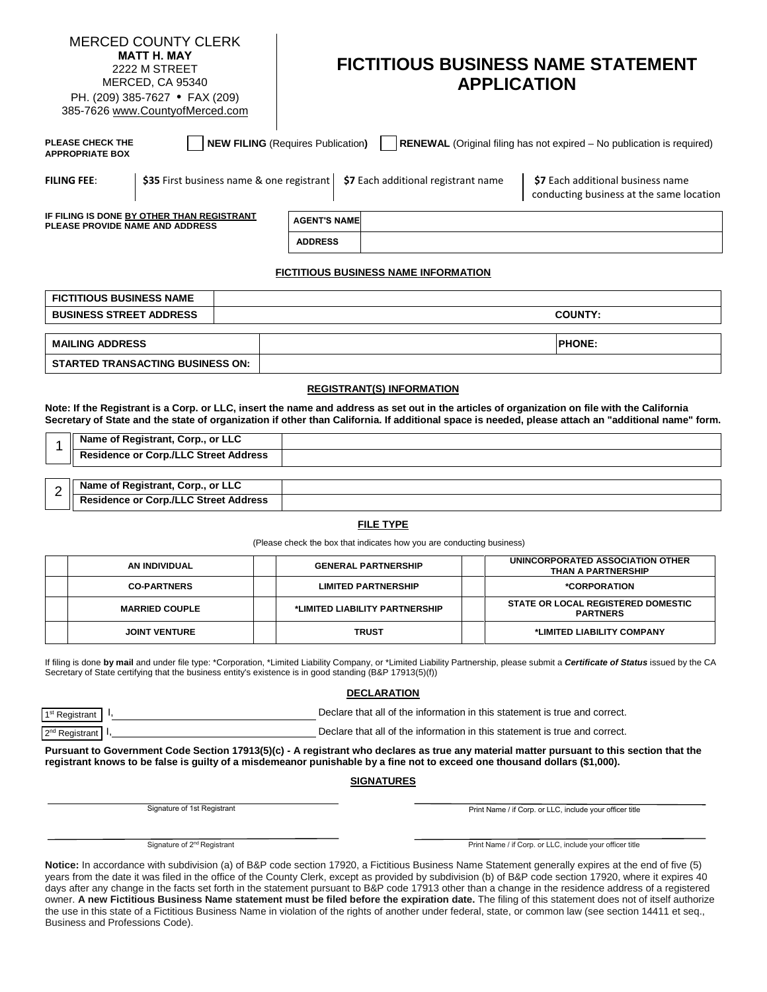| <b>MERCED COUNTY CLERK</b><br><b>MATT H. MAY</b><br>2222 M STREET<br><b>MERCED, CA 95340</b><br>PH. (209) 385-7627 • FAX (209)<br>385-7626 www.CountyofMerced.com |  | <b>FICTITIOUS BUSINESS NAME STATEMENT</b><br><b>APPLICATION</b> |                                                                                            |                                                                               |  |
|-------------------------------------------------------------------------------------------------------------------------------------------------------------------|--|-----------------------------------------------------------------|--------------------------------------------------------------------------------------------|-------------------------------------------------------------------------------|--|
| PLEASE CHECK THE<br><b>NEW FILING (Requires Publication)</b><br>RENEWAL (Original filing has not expired - No publication is required)<br><b>APPROPRIATE BOX</b>  |  |                                                                 |                                                                                            |                                                                               |  |
| <b>FILING FEE:</b>                                                                                                                                                |  |                                                                 | \$35 First business name & one registrant   $\frac{1}{27}$ Each additional registrant name | \$7 Each additional business name<br>conducting business at the same location |  |
| IF FILING IS DONE BY OTHER THAN REGISTRANT<br><b>PLEASE PROVIDE NAME AND ADDRESS</b>                                                                              |  | <b>AGENT'S NAME</b>                                             |                                                                                            |                                                                               |  |
|                                                                                                                                                                   |  | <b>ADDRESS</b>                                                  |                                                                                            |                                                                               |  |

#### **FICTITIOUS BUSINESS NAME INFORMATION**

| <b>FICTITIOUS BUSINESS NAME</b>         |                |
|-----------------------------------------|----------------|
| <b>BUSINESS STREET ADDRESS</b>          | <b>COUNTY:</b> |
|                                         |                |
| <b>MAILING ADDRESS</b>                  | <b>PHONE:</b>  |
| <b>STARTED TRANSACTING BUSINESS ON:</b> |                |

#### **REGISTRANT(S) INFORMATION**

**Note: If the Registrant is a Corp. or LLC, insert the name and address as set out in the articles of organization on file with the California Secretary of State and the state of organization if other than California. If additional space is needed, please attach an "additional name" form.**

| Name of Registrant, Corp., or LLC            |  |
|----------------------------------------------|--|
| <b>Residence or Corp./LLC Street Address</b> |  |
|                                              |  |
| Name of Registrant, Corp., or LLC            |  |

|   | Name of Registrant, Corp., or LLC<br>$\sim$                       |  |
|---|-------------------------------------------------------------------|--|
| - | ∴orn /l I<br>nr (<br><b>Residence</b><br>Address<br><b>Street</b> |  |
|   |                                                                   |  |

#### **FILE TYPE**

(Please check the box that indicates how you are conducting business)

| AN INDIVIDUAL         | <b>GENERAL PARTNERSHIP</b>     |  | UNINCORPORATED ASSOCIATION OTHER<br><b>THAN A PARTNERSHIP</b> |
|-----------------------|--------------------------------|--|---------------------------------------------------------------|
| <b>CO-PARTNERS</b>    | <b>LIMITED PARTNERSHIP</b>     |  | *CORPORATION                                                  |
| <b>MARRIED COUPLE</b> | *LIMITED LIABILITY PARTNERSHIP |  | <b>STATE OR LOCAL REGISTERED DOMESTIC</b><br><b>PARTNERS</b>  |
| <b>JOINT VENTURE</b>  | <b>TRUST</b>                   |  | *LIMITED LIABILITY COMPANY                                    |

If filing is done **by mail** and under file type: \*Corporation, \*Limited Liability Company, or \*Limited Liability Partnership, please submit a *Certificate of Status* issued by the CA Secretary of State certifying that the business entity's existence is in good standing (B&P 17913(5)(f))

#### **DECLARATION**

1st Registrant | I, **It Registrant** | I, **Declare that all of the information in this statement is true and correct.** 

2<sup>nd</sup> Registrant I, **Declare that all of the information in this statement is true and correct.** 

**Pursuant to Government Code Section 17913(5)(c) - A registrant who declares as true any material matter pursuant to this section that the registrant knows to be false is guilty of a misdemeanor punishable by a fine not to exceed one thousand dollars (\$1,000).**

#### **SIGNATURES**

Signature of 1st Registrant

Print Name / if Corp. or LLC, include your officer title

Signature of 2<sup>nd</sup> Registrant

Print Name / if Corp. or LLC, include your officer title

**Notice:** In accordance with subdivision (a) of B&P code section 17920, a Fictitious Business Name Statement generally expires at the end of five (5) years from the date it was filed in the office of the County Clerk, except as provided by subdivision (b) of B&P code section 17920, where it expires 40 days after any change in the facts set forth in the statement pursuant to B&P code 17913 other than a change in the residence address of a registered owner. **A new Fictitious Business Name statement must be filed before the expiration date.** The filing of this statement does not of itself authorize the use in this state of a Fictitious Business Name in violation of the rights of another under federal, state, or common law (see section 14411 et seq., Business and Professions Code).